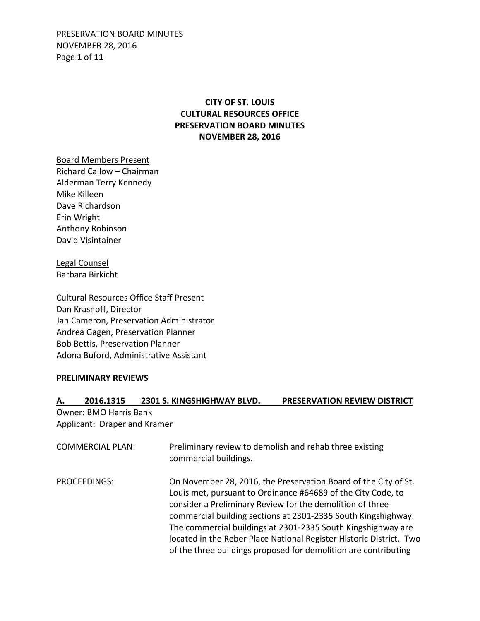PRESERVATION BOARD MINUTES NOVEMBER 28, 2016 Page **1** of **11**

## **CITY OF ST. LOUIS CULTURAL RESOURCES OFFICE PRESERVATION BOARD MINUTES NOVEMBER 28, 2016**

Board Members Present Richard Callow – Chairman Alderman Terry Kennedy Mike Killeen Dave Richardson Erin Wright Anthony Robinson David Visintainer

Legal Counsel Barbara Birkicht

Cultural Resources Office Staff Present Dan Krasnoff, Director Jan Cameron, Preservation Administrator Andrea Gagen, Preservation Planner Bob Bettis, Preservation Planner Adona Buford, Administrative Assistant

#### **PRELIMINARY REVIEWS**

### **A. 2016.1315 2301 S. KINGSHIGHWAY BLVD. PRESERVATION REVIEW DISTRICT**

Owner: BMO Harris Bank Applicant: Draper and Kramer

| <b>COMMERCIAL PLAN:</b> | Preliminary review to demolish and rehab three existing<br>commercial buildings.                                                                                                                                                                                                                                                                                                                                                                                        |
|-------------------------|-------------------------------------------------------------------------------------------------------------------------------------------------------------------------------------------------------------------------------------------------------------------------------------------------------------------------------------------------------------------------------------------------------------------------------------------------------------------------|
| PROCEEDINGS:            | On November 28, 2016, the Preservation Board of the City of St.<br>Louis met, pursuant to Ordinance #64689 of the City Code, to<br>consider a Preliminary Review for the demolition of three<br>commercial building sections at 2301-2335 South Kingshighway.<br>The commercial buildings at 2301-2335 South Kingshighway are<br>located in the Reber Place National Register Historic District. Two<br>of the three buildings proposed for demolition are contributing |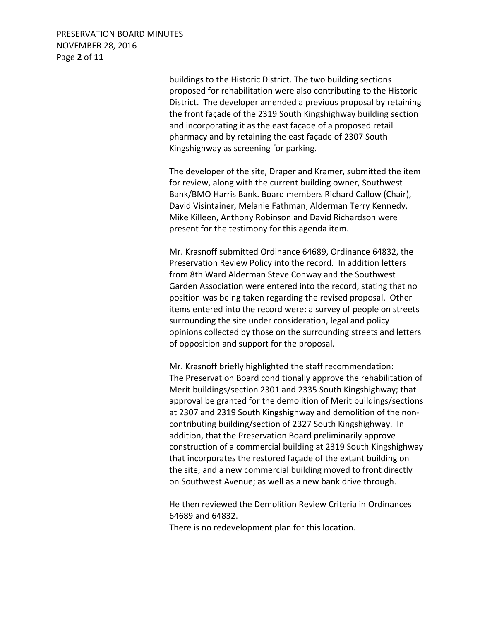PRESERVATION BOARD MINUTES NOVEMBER 28, 2016 Page **2** of **11**

> buildings to the Historic District. The two building sections proposed for rehabilitation were also contributing to the Historic District. The developer amended a previous proposal by retaining the front façade of the 2319 South Kingshighway building section and incorporating it as the east façade of a proposed retail pharmacy and by retaining the east façade of 2307 South Kingshighway as screening for parking.

> The developer of the site, Draper and Kramer, submitted the item for review, along with the current building owner, Southwest Bank/BMO Harris Bank. Board members Richard Callow (Chair), David Visintainer, Melanie Fathman, Alderman Terry Kennedy, Mike Killeen, Anthony Robinson and David Richardson were present for the testimony for this agenda item.

> Mr. Krasnoff submitted Ordinance 64689, Ordinance 64832, the Preservation Review Policy into the record. In addition letters from 8th Ward Alderman Steve Conway and the Southwest Garden Association were entered into the record, stating that no position was being taken regarding the revised proposal. Other items entered into the record were: a survey of people on streets surrounding the site under consideration, legal and policy opinions collected by those on the surrounding streets and letters of opposition and support for the proposal.

> Mr. Krasnoff briefly highlighted the staff recommendation: The Preservation Board conditionally approve the rehabilitation of Merit buildings/section 2301 and 2335 South Kingshighway; that approval be granted for the demolition of Merit buildings/sections at 2307 and 2319 South Kingshighway and demolition of the noncontributing building/section of 2327 South Kingshighway. In addition, that the Preservation Board preliminarily approve construction of a commercial building at 2319 South Kingshighway that incorporates the restored façade of the extant building on the site; and a new commercial building moved to front directly on Southwest Avenue; as well as a new bank drive through.

 He then reviewed the Demolition Review Criteria in Ordinances 64689 and 64832.

There is no redevelopment plan for this location.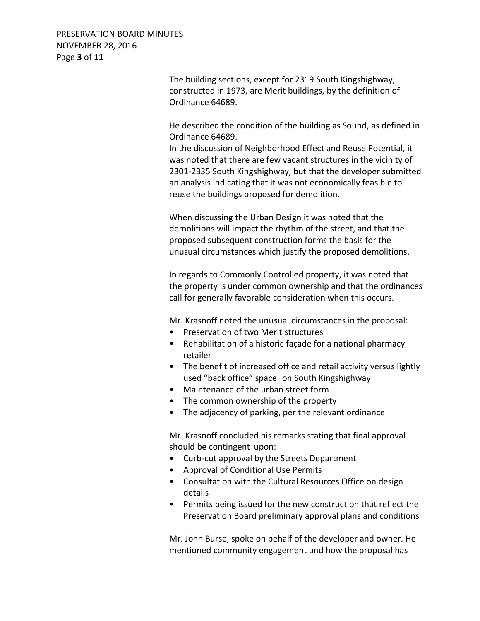PRESERVATION BOARD MINUTES NOVEMBER 28, 2016 Page **3** of **11**

> The building sections, except for 2319 South Kingshighway, constructed in 1973, are Merit buildings, by the definition of Ordinance 64689.

 He described the condition of the building as Sound, as defined in Ordinance 64689.

 In the discussion of Neighborhood Effect and Reuse Potential, it was noted that there are few vacant structures in the vicinity of 2301-2335 South Kingshighway, but that the developer submitted an analysis indicating that it was not economically feasible to reuse the buildings proposed for demolition.

 When discussing the Urban Design it was noted that the demolitions will impact the rhythm of the street, and that the proposed subsequent construction forms the basis for the unusual circumstances which justify the proposed demolitions.

 In regards to Commonly Controlled property, it was noted that the property is under common ownership and that the ordinances call for generally favorable consideration when this occurs.

Mr. Krasnoff noted the unusual circumstances in the proposal:

- Preservation of two Merit structures
- Rehabilitation of a historic façade for a national pharmacy retailer
- The benefit of increased office and retail activity versus lightly used "back office" space on South Kingshighway
- Maintenance of the urban street form
- The common ownership of the property
- The adjacency of parking, per the relevant ordinance

Mr. Krasnoff concluded his remarks stating that final approval should be contingent upon:

- Curb-cut approval by the Streets Department
- Approval of Conditional Use Permits
- Consultation with the Cultural Resources Office on design details
- Permits being issued for the new construction that reflect the Preservation Board preliminary approval plans and conditions

Mr. John Burse, spoke on behalf of the developer and owner. He mentioned community engagement and how the proposal has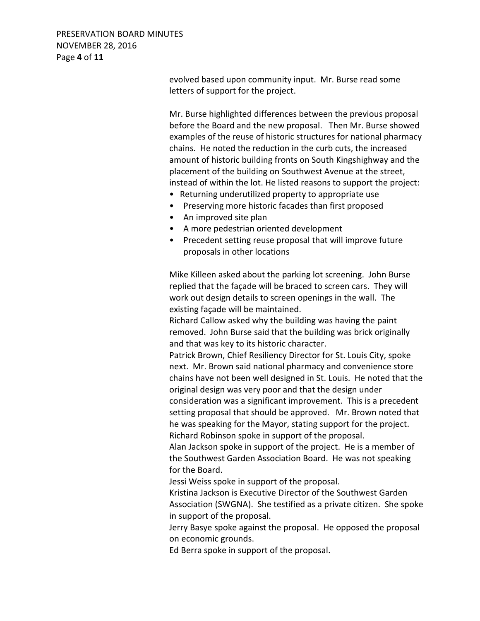PRESERVATION BOARD MINUTES NOVEMBER 28, 2016 Page **4** of **11**

> evolved based upon community input. Mr. Burse read some letters of support for the project.

Mr. Burse highlighted differences between the previous proposal before the Board and the new proposal. Then Mr. Burse showed examples of the reuse of historic structures for national pharmacy chains. He noted the reduction in the curb cuts, the increased amount of historic building fronts on South Kingshighway and the placement of the building on Southwest Avenue at the street, instead of within the lot. He listed reasons to support the project:

- Returning underutilized property to appropriate use
- Preserving more historic facades than first proposed
- An improved site plan
- A more pedestrian oriented development
- Precedent setting reuse proposal that will improve future proposals in other locations

 Mike Killeen asked about the parking lot screening. John Burse replied that the façade will be braced to screen cars. They will work out design details to screen openings in the wall. The existing façade will be maintained.

 Richard Callow asked why the building was having the paint removed. John Burse said that the building was brick originally and that was key to its historic character.

 Patrick Brown, Chief Resiliency Director for St. Louis City, spoke next. Mr. Brown said national pharmacy and convenience store chains have not been well designed in St. Louis. He noted that the original design was very poor and that the design under

consideration was a significant improvement. This is a precedent setting proposal that should be approved. Mr. Brown noted that he was speaking for the Mayor, stating support for the project. Richard Robinson spoke in support of the proposal.

 Alan Jackson spoke in support of the project. He is a member of the Southwest Garden Association Board. He was not speaking for the Board.

Jessi Weiss spoke in support of the proposal.

 Kristina Jackson is Executive Director of the Southwest Garden Association (SWGNA). She testified as a private citizen. She spoke in support of the proposal.

 Jerry Basye spoke against the proposal. He opposed the proposal on economic grounds.

Ed Berra spoke in support of the proposal.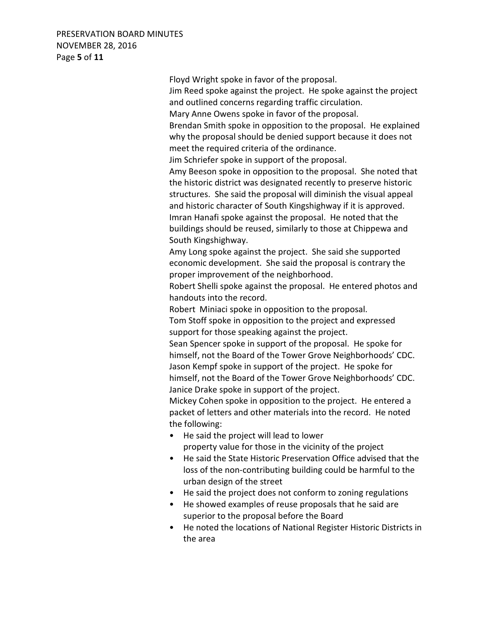### PRESERVATION BOARD MINUTES NOVEMBER 28, 2016 Page **5** of **11**

 Floyd Wright spoke in favor of the proposal. Jim Reed spoke against the project. He spoke against the project and outlined concerns regarding traffic circulation. Mary Anne Owens spoke in favor of the proposal. Brendan Smith spoke in opposition to the proposal. He explained why the proposal should be denied support because it does not meet the required criteria of the ordinance. Jim Schriefer spoke in support of the proposal. Amy Beeson spoke in opposition to the proposal. She noted that the historic district was designated recently to preserve historic structures. She said the proposal will diminish the visual appeal and historic character of South Kingshighway if it is approved. Imran Hanafi spoke against the proposal. He noted that the buildings should be reused, similarly to those at Chippewa and South Kingshighway. Amy Long spoke against the project. She said she supported economic development. She said the proposal is contrary the proper improvement of the neighborhood. Robert Shelli spoke against the proposal. He entered photos and handouts into the record. Robert Miniaci spoke in opposition to the proposal. Tom Stoff spoke in opposition to the project and expressed support for those speaking against the project. Sean Spencer spoke in support of the proposal. He spoke for himself, not the Board of the Tower Grove Neighborhoods' CDC. Jason Kempf spoke in support of the project. He spoke for himself, not the Board of the Tower Grove Neighborhoods' CDC. Janice Drake spoke in support of the project. Mickey Cohen spoke in opposition to the project. He entered a packet of letters and other materials into the record. He noted the following: • He said the project will lead to lower property value for those in the vicinity of the project • He said the State Historic Preservation Office advised that the loss of the non-contributing building could be harmful to the urban design of the street • He said the project does not conform to zoning regulations • He showed examples of reuse proposals that he said are superior to the proposal before the Board

• He noted the locations of National Register Historic Districts in the area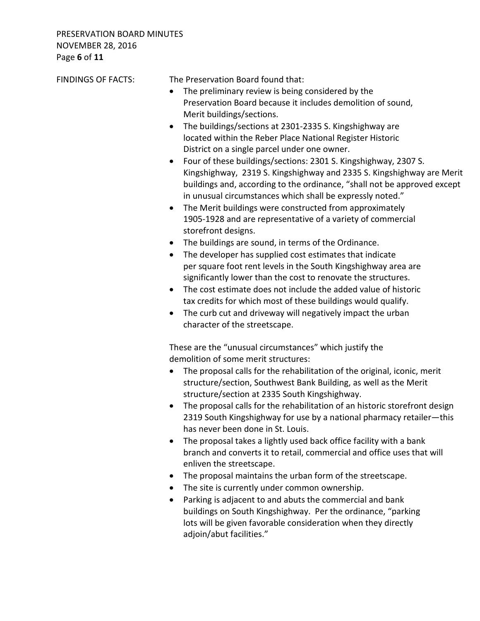| <b>FINDINGS OF FACTS:</b> | The Preservation Board found that:                                           |
|---------------------------|------------------------------------------------------------------------------|
|                           | The preliminary review is being considered by the                            |
|                           | Preservation Board because it includes demolition of sound,                  |
|                           | Merit buildings/sections.                                                    |
|                           | • The buildings/sections at 2301-2335 S. Kingshighway are                    |
|                           | located within the Reber Place National Register Historic                    |
|                           | District on a single parcel under one owner.                                 |
|                           | Four of these buildings/sections: 2301 S. Kingshighway, 2307 S.<br>$\bullet$ |
|                           | Kingshighway, 2319 S. Kingshighway and 2335 S. Kingshighway are Merit        |
|                           | buildings and, according to the ordinance, "shall not be approved except     |
|                           | in unusual circumstances which shall be expressly noted."                    |
|                           | The Merit buildings were constructed from approximately<br>$\bullet$         |
|                           | 1905-1928 and are representative of a variety of commercial                  |
|                           | storefront designs.                                                          |
|                           | The buildings are sound, in terms of the Ordinance.                          |
|                           | The developer has supplied cost estimates that indicate                      |

 significantly lower than the cost to renovate the structures. • The cost estimate does not include the added value of historic tax credits for which most of these buildings would qualify.

per square foot rent levels in the South Kingshighway area are

• The curb cut and driveway will negatively impact the urban character of the streetscape.

 These are the "unusual circumstances" which justify the demolition of some merit structures:

- The proposal calls for the rehabilitation of the original, iconic, merit structure/section, Southwest Bank Building, as well as the Merit structure/section at 2335 South Kingshighway.
- The proposal calls for the rehabilitation of an historic storefront design 2319 South Kingshighway for use by a national pharmacy retailer—this has never been done in St. Louis.
- The proposal takes a lightly used back office facility with a bank branch and converts it to retail, commercial and office uses that will enliven the streetscape.
- The proposal maintains the urban form of the streetscape.
- The site is currently under common ownership.
- Parking is adjacent to and abuts the commercial and bank buildings on South Kingshighway. Per the ordinance, "parking lots will be given favorable consideration when they directly adjoin/abut facilities."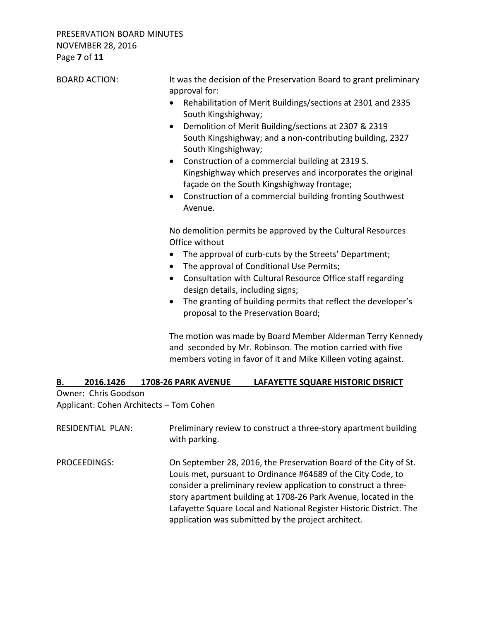# PRESERVATION BOARD MINUTES NOVEMBER 28, 2016 Page **7** of **11**

| <b>BOARD ACTION:</b> | It was the decision of the Preservation Board to grant preliminary<br>approval for:<br>Rehabilitation of Merit Buildings/sections at 2301 and 2335<br>$\bullet$<br>South Kingshighway;<br>Demolition of Merit Building/sections at 2307 & 2319<br>$\bullet$<br>South Kingshighway; and a non-contributing building, 2327<br>South Kingshighway;<br>Construction of a commercial building at 2319 S.<br>٠<br>Kingshighway which preserves and incorporates the original<br>façade on the South Kingshighway frontage;<br>Construction of a commercial building fronting Southwest<br>$\bullet$<br>Avenue.                          |  |
|----------------------|-----------------------------------------------------------------------------------------------------------------------------------------------------------------------------------------------------------------------------------------------------------------------------------------------------------------------------------------------------------------------------------------------------------------------------------------------------------------------------------------------------------------------------------------------------------------------------------------------------------------------------------|--|
|                      | No demolition permits be approved by the Cultural Resources<br>Office without<br>The approval of curb-cuts by the Streets' Department;<br>The approval of Conditional Use Permits;<br>$\bullet$<br>Consultation with Cultural Resource Office staff regarding<br>$\bullet$<br>design details, including signs;<br>The granting of building permits that reflect the developer's<br>$\bullet$<br>proposal to the Preservation Board;<br>The motion was made by Board Member Alderman Terry Kennedy<br>and seconded by Mr. Robinson. The motion carried with five<br>members voting in favor of it and Mike Killeen voting against. |  |
| В.                   | 2016.1426 1708-26 PARK AVENUE<br>LAFAYETTE SQUARE HISTORIC DISRICT                                                                                                                                                                                                                                                                                                                                                                                                                                                                                                                                                                |  |
| Owner: Chris Goodson |                                                                                                                                                                                                                                                                                                                                                                                                                                                                                                                                                                                                                                   |  |
|                      | Applicant: Cohen Architects - Tom Cohen                                                                                                                                                                                                                                                                                                                                                                                                                                                                                                                                                                                           |  |

| <b>RESIDENTIAL PLAN:</b> | Preliminary review to construct a three-story apartment building<br>with parking.                                                                                                                                                                                                                                                                                                                    |
|--------------------------|------------------------------------------------------------------------------------------------------------------------------------------------------------------------------------------------------------------------------------------------------------------------------------------------------------------------------------------------------------------------------------------------------|
| PROCEEDINGS:             | On September 28, 2016, the Preservation Board of the City of St.<br>Louis met, pursuant to Ordinance #64689 of the City Code, to<br>consider a preliminary review application to construct a three-<br>story apartment building at 1708-26 Park Avenue, located in the<br>Lafayette Square Local and National Register Historic District. The<br>application was submitted by the project architect. |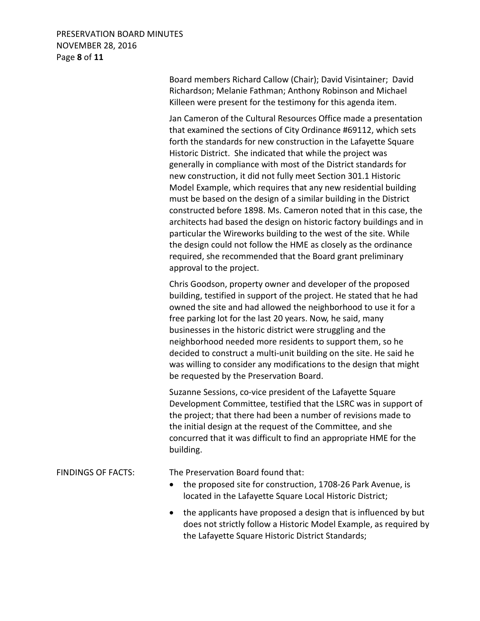## PRESERVATION BOARD MINUTES NOVEMBER 28, 2016 Page **8** of **11**

 Board members Richard Callow (Chair); David Visintainer; David Richardson; Melanie Fathman; Anthony Robinson and Michael Killeen were present for the testimony for this agenda item.

 Jan Cameron of the Cultural Resources Office made a presentation that examined the sections of City Ordinance #69112, which sets forth the standards for new construction in the Lafayette Square Historic District. She indicated that while the project was generally in compliance with most of the District standards for new construction, it did not fully meet Section 301.1 Historic Model Example, which requires that any new residential building must be based on the design of a similar building in the District constructed before 1898. Ms. Cameron noted that in this case, the architects had based the design on historic factory buildings and in particular the Wireworks building to the west of the site. While the design could not follow the HME as closely as the ordinance required, she recommended that the Board grant preliminary approval to the project.

 Chris Goodson, property owner and developer of the proposed building, testified in support of the project. He stated that he had owned the site and had allowed the neighborhood to use it for a free parking lot for the last 20 years. Now, he said, many businesses in the historic district were struggling and the neighborhood needed more residents to support them, so he decided to construct a multi-unit building on the site. He said he was willing to consider any modifications to the design that might be requested by the Preservation Board.

 Suzanne Sessions, co-vice president of the Lafayette Square Development Committee, testified that the LSRC was in support of the project; that there had been a number of revisions made to the initial design at the request of the Committee, and she concurred that it was difficult to find an appropriate HME for the building.

#### FINDINGS OF FACTS: The Preservation Board found that:

- the proposed site for construction, 1708-26 Park Avenue, is located in the Lafayette Square Local Historic District;
- the applicants have proposed a design that is influenced by but does not strictly follow a Historic Model Example, as required by the Lafayette Square Historic District Standards;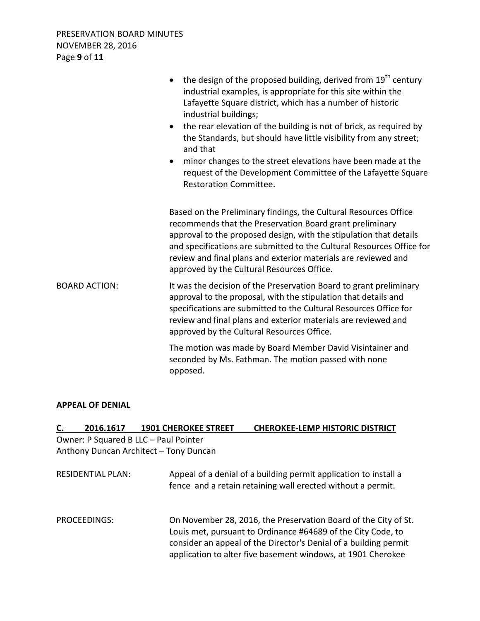PRESERVATION BOARD MINUTES NOVEMBER 28, 2016 Page **9** of **11**

|                      | the design of the proposed building, derived from 19 <sup>th</sup> century<br>industrial examples, is appropriate for this site within the<br>Lafayette Square district, which has a number of historic<br>industrial buildings;<br>the rear elevation of the building is not of brick, as required by<br>$\bullet$<br>the Standards, but should have little visibility from any street;<br>and that<br>minor changes to the street elevations have been made at the<br>$\bullet$<br>request of the Development Committee of the Lafayette Square<br><b>Restoration Committee.</b> |  |
|----------------------|------------------------------------------------------------------------------------------------------------------------------------------------------------------------------------------------------------------------------------------------------------------------------------------------------------------------------------------------------------------------------------------------------------------------------------------------------------------------------------------------------------------------------------------------------------------------------------|--|
|                      | Based on the Preliminary findings, the Cultural Resources Office<br>recommends that the Preservation Board grant preliminary<br>approval to the proposed design, with the stipulation that details<br>and specifications are submitted to the Cultural Resources Office for<br>review and final plans and exterior materials are reviewed and<br>approved by the Cultural Resources Office.                                                                                                                                                                                        |  |
| <b>BOARD ACTION:</b> | It was the decision of the Preservation Board to grant preliminary<br>approval to the proposal, with the stipulation that details and<br>specifications are submitted to the Cultural Resources Office for<br>review and final plans and exterior materials are reviewed and<br>approved by the Cultural Resources Office.                                                                                                                                                                                                                                                         |  |
|                      | The motion was made by Board Member David Visintainer and<br>seconded by Ms. Fathman. The motion passed with none<br>opposed.                                                                                                                                                                                                                                                                                                                                                                                                                                                      |  |

#### **APPEAL OF DENIAL**

| C. | 2016.1617                | <b>1901 CHEROKEE STREET</b>            | <b>CHEROKEE-LEMP HISTORIC DISTRICT</b>                                                                                                                                                                                                                              |
|----|--------------------------|----------------------------------------|---------------------------------------------------------------------------------------------------------------------------------------------------------------------------------------------------------------------------------------------------------------------|
|    |                          | Owner: P Squared B LLC - Paul Pointer  |                                                                                                                                                                                                                                                                     |
|    |                          | Anthony Duncan Architect - Tony Duncan |                                                                                                                                                                                                                                                                     |
|    | <b>RESIDENTIAL PLAN:</b> |                                        | Appeal of a denial of a building permit application to install a<br>fence and a retain retaining wall erected without a permit.                                                                                                                                     |
|    | <b>PROCEEDINGS:</b>      |                                        | On November 28, 2016, the Preservation Board of the City of St.<br>Louis met, pursuant to Ordinance #64689 of the City Code, to<br>consider an appeal of the Director's Denial of a building permit<br>application to alter five basement windows, at 1901 Cherokee |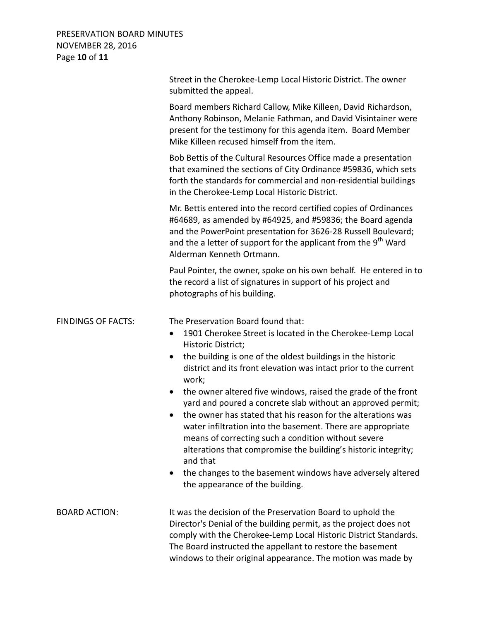## PRESERVATION BOARD MINUTES NOVEMBER 28, 2016 Page **10** of **11**

|                           | Street in the Cherokee-Lemp Local Historic District. The owner<br>submitted the appeal.                                                                                                                                                                                                                                                                                                                                                                                                                                                                                                                                                                                                                                                                                                   |
|---------------------------|-------------------------------------------------------------------------------------------------------------------------------------------------------------------------------------------------------------------------------------------------------------------------------------------------------------------------------------------------------------------------------------------------------------------------------------------------------------------------------------------------------------------------------------------------------------------------------------------------------------------------------------------------------------------------------------------------------------------------------------------------------------------------------------------|
|                           | Board members Richard Callow, Mike Killeen, David Richardson,<br>Anthony Robinson, Melanie Fathman, and David Visintainer were<br>present for the testimony for this agenda item. Board Member<br>Mike Killeen recused himself from the item.                                                                                                                                                                                                                                                                                                                                                                                                                                                                                                                                             |
|                           | Bob Bettis of the Cultural Resources Office made a presentation<br>that examined the sections of City Ordinance #59836, which sets<br>forth the standards for commercial and non-residential buildings<br>in the Cherokee-Lemp Local Historic District.                                                                                                                                                                                                                                                                                                                                                                                                                                                                                                                                   |
|                           | Mr. Bettis entered into the record certified copies of Ordinances<br>#64689, as amended by #64925, and #59836; the Board agenda<br>and the PowerPoint presentation for 3626-28 Russell Boulevard;<br>and the a letter of support for the applicant from the 9 <sup>th</sup> Ward<br>Alderman Kenneth Ortmann.                                                                                                                                                                                                                                                                                                                                                                                                                                                                             |
|                           | Paul Pointer, the owner, spoke on his own behalf. He entered in to<br>the record a list of signatures in support of his project and<br>photographs of his building.                                                                                                                                                                                                                                                                                                                                                                                                                                                                                                                                                                                                                       |
| <b>FINDINGS OF FACTS:</b> | The Preservation Board found that:<br>1901 Cherokee Street is located in the Cherokee-Lemp Local<br>Historic District;<br>the building is one of the oldest buildings in the historic<br>district and its front elevation was intact prior to the current<br>work;<br>the owner altered five windows, raised the grade of the front<br>$\bullet$<br>yard and poured a concrete slab without an approved permit;<br>the owner has stated that his reason for the alterations was<br>water infiltration into the basement. There are appropriate<br>means of correcting such a condition without severe<br>alterations that compromise the building's historic integrity;<br>and that<br>the changes to the basement windows have adversely altered<br>٠<br>the appearance of the building. |
| <b>BOARD ACTION:</b>      | It was the decision of the Preservation Board to uphold the<br>Director's Denial of the building permit, as the project does not<br>comply with the Cherokee-Lemp Local Historic District Standards.<br>The Board instructed the appellant to restore the basement<br>windows to their original appearance. The motion was made by                                                                                                                                                                                                                                                                                                                                                                                                                                                        |